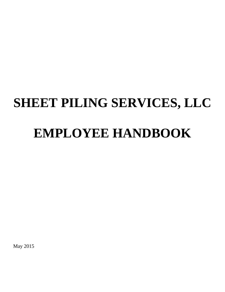# **SHEET PILING SERVICES, LLC EMPLOYEE HANDBOOK**

May 2015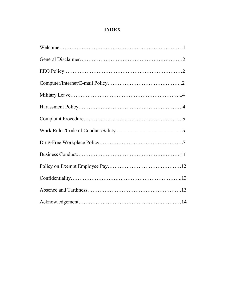# **INDEX**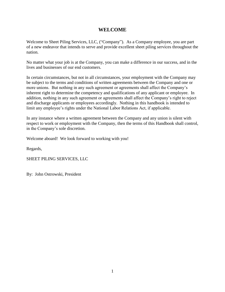# **WELCOME**

Welcome to Sheet Piling Services, LLC, ("Company"). As a Company employee, you are part of a new endeavor that intends to serve and provide excellent sheet piling services throughout the nation.

No matter what your job is at the Company, you can make a difference in our success, and in the lives and businesses of our end customers.

In certain circumstances, but not in all circumstances, your employment with the Company may be subject to the terms and conditions of written agreements between the Company and one or more unions. But nothing in any such agreement or agreements shall affect the Company's inherent right to determine the competency and qualifications of any applicant or employee. In addition, nothing in any such agreement or agreements shall affect the Company's right to reject and discharge applicants or employees accordingly. Nothing in this handbook is intended to limit any employee's rights under the National Labor Relations Act, if applicable.

In any instance where a written agreement between the Company and any union is silent with respect to work or employment with the Company, then the terms of this Handbook shall control, in the Company's sole discretion.

Welcome aboard! We look forward to working with you!

Regards,

SHEET PILING SERVICES, LLC

By: John Ostrowski, President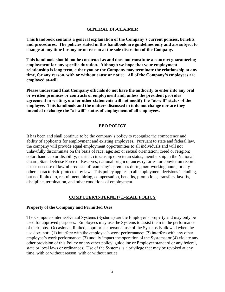### **GENERAL DISCLAIMER**

**This handbook contains a general explanation of the Company's current policies, benefits and procedures. The policies stated in this handbook are guidelines only and are subject to change at any time for any or no reason at the sole discretion of the Company.**

**This handbook should not be construed as and does not constitute a contract guaranteeing employment for any specific duration. Although we hope that your employment relationship is long term, either you or the Company may terminate the relationship at any time, for any reason, with or without cause or notice. All of the Company's employees are employed at-will.**

**Please understand that Company officials do not have the authority to enter into any oral or written promises or contracts of employment and, unless the president provides agreement in writing, oral or other statements will not modify the "at-will" status of the employee. This handbook and the matters discussed in it do not change nor are they intended to change the "at-will" status of employment of all employees.**

### **EEO POLICY**

It has been and shall continue to be the company's policy to recognize the competence and ability of applicants for employment and existing employees. Pursuant to state and federal law, the company will provide equal employment opportunities to all individuals and will not unlawfully discriminate on the basis of race; age; sex or sexual orientation; creed or religion; color; handicap or disability; marital, citizenship or veteran status; membership in the National Guard, State Defense Force or Reserves; national origin or ancestry; arrest or conviction record; use or non-use of lawful products off company's premises during non-working hours; or any other characteristic protected by law. This policy applies to all employment decisions including, but not limited to, recruitment, hiring, compensation, benefits, promotions, transfers, layoffs, discipline, termination, and other conditions of employment.

#### **COMPUTER/INTERNET/ E-MAIL POLICY**

### **Property of the Company and Permitted Uses**

The Computer/Internet/E-mail Systems (Systems) are the Employer's property and may only be used for approved purposes. Employees may use the Systems to assist them in the performance of their jobs. Occasional, limited, appropriate personal use of the Systems is allowed when the use does not: (1) interfere with the employee's work performance; (2) interfere with any other employee's work performance; (3) unduly impact the operation of the Systems; or (4) violate any other provision of this Policy or any other policy, guideline or Employer standard or any federal, state or local laws or ordinances. Use of the Systems is a privilege that may be revoked at any time, with or without reason, with or without notice.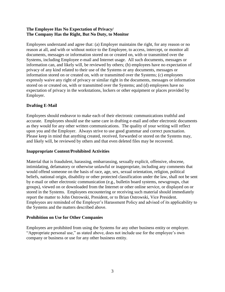# **The Employee Has No Expectation of Privacy/ The Company Has the Right, But No Duty, to Monitor**

Employees understand and agree that: (a) Employer maintains the right, for any reason or no reason at all, and with or without notice to the Employee, to access, intercept, or monitor all documents, messages or information stored on or created on, with or transmitted over the Systems, including Employee e-mail and Internet usage. All such documents, messages or information can, and likely will, be reviewed by others; (b) employees have no expectation of privacy of any kind related to their use of the Systems or any documents, messages or information stored on or created on, with or transmitted over the Systems; (c) employees expressly waive any right of privacy or similar right in the documents, messages or information stored on or created on, with or transmitted over the Systems; and (d) employees have no expectation of privacy in the workstations, lockers or other equipment or places provided by Employer.

# **Drafting E-Mail**

Employees should endeavor to make each of their electronic communications truthful and accurate. Employees should use the same care in drafting e-mail and other electronic documents as they would for any other written communications. The quality of your writing will reflect upon you and the Employer. Always strive to use good grammar and correct punctuation. Please keep in mind that anything created, received, forwarded or stored on the Systems may, and likely will, be reviewed by others and that even deleted files may be recovered.

# **Inappropriate Content/Prohibited Activities**

Material that is fraudulent, harassing, embarrassing, sexually explicit, offensive, obscene, intimidating, defamatory or otherwise unlawful or inappropriate, including any comments that would offend someone on the basis of race, age, sex, sexual orientation, religion, political beliefs, national origin, disability or other protected classification under the law, shall not be sent by e-mail or other electronic communication (e.g., bulletin board systems, newsgroups, chat groups), viewed on or downloaded from the Internet or other online service, or displayed on or stored in the Systems. Employees encountering or receiving such material should immediately report the matter to John Ostrowski, President, or to Brian Ostrowski, Vice President. Employees are reminded of the Employer's Harassment Policy and advised of its applicability to the Systems and the matters described above.

## **Prohibition on Use for Other Companies**

Employees are prohibited from using the Systems for any other business entity or employer. "Appropriate personal use," as stated above, does not include use for the employee's own company or business or use for any other business entity.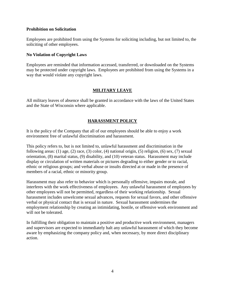## **Prohibition on Solicitation**

Employees are prohibited from using the Systems for soliciting including, but not limited to, the soliciting of other employees.

## **No Violation of Copyright Laws**

Employees are reminded that information accessed, transferred, or downloaded on the Systems may be protected under copyright laws. Employees are prohibited from using the Systems in a way that would violate any copyright laws.

# **MILITARY LEAVE**

All military leaves of absence shall be granted in accordance with the laws of the United States and the State of Wisconsin where applicable.

# **HARASSMENT POLICY**

It is the policy of the Company that all of our employees should be able to enjoy a work environment free of unlawful discrimination and harassment.

This policy refers to, but is not limited to, unlawful harassment and discrimination in the following areas: (1) age, (2) race, (3) color, (4) national origin, (5) religion, (6) sex, (7) sexual orientation, (8) marital status, (9) disability, and (10) veteran status. Harassment may include display or circulation of written materials or pictures degrading to either gender or to racial, ethnic or religious groups; and verbal abuse or insults directed at or made in the presence of members of a racial, ethnic or minority group.

Harassment may also refer to behavior which is personally offensive, impairs morale, and interferes with the work effectiveness of employees. Any unlawful harassment of employees by other employees will not be permitted, regardless of their working relationship. Sexual harassment includes unwelcome sexual advances, requests for sexual favors, and other offensive verbal or physical contact that is sexual in nature. Sexual harassment undermines the employment relationship by creating an intimidating, hostile, or offensive work environment and will not be tolerated.

In fulfilling their obligation to maintain a positive and productive work environment, managers and supervisors are expected to immediately halt any unlawful harassment of which they become aware by emphasizing the company policy and, when necessary, by more direct disciplinary action.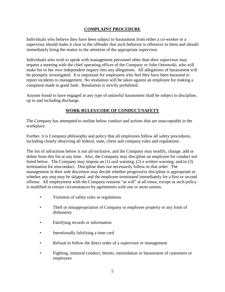# **COMPLAINT PROCEDURE**

Individuals who believe they have been subject to harassment from either a co-worker or a supervisor should make it clear to the offender that such behavior is offensive to them and should immediately bring the matter to the attention of the appropriate supervisor.

Individuals who wish to speak with management personnel other than their supervisor may request a meeting with the chief operating officer of the Company or John Ostrowski, who will make his or her own independent inquiry into any allegations. All allegations of harassment will be promptly investigated. It is important for employees who feel they have been harassed to report incidents to management. No retaliation will be taken against an employee for making a complaint made in good faith. Retaliation is strictly prohibited.

Anyone found to have engaged in any type of unlawful harassment shall be subject to discipline, up to and including discharge.

# **WORK RULES/CODE OF CONDUCT/SAFETY**

The Company has attempted to outline below conduct and actions that are unacceptable in the workplace.

Further, it is Company philosophy and policy that all employees follow all safety procedures, including closely observing all federal, state, client and company rules and regulations.

The list of infractions below is not all-inclusive, and the Company may modify, change, add or delete from this list at any time. Also, the Company may discipline an employee for conduct not listed below. The Company may impose an (1) oral warning; (2) a written warning; and/or (3) termination for misconduct. Discipline does not necessarily follow in that order. The management in their sole discretion may decide whether progressive discipline is appropriate or whether any step may be skipped, and the employee terminated immediately for a first or second offense. All employment with the Company remains "at will" at all times, except as such policy is modified in certain circumstances by agreements with one or more unions.

- Violation of safety rules or regulations
- Theft or misappropriation of Company or employee property or any form of dishonesty
- Falsifying records or information
- Intentionally falsifying a time card
- Refusal to follow the direct order of a supervisor or management
- Fighting, immoral conduct, threats, intimidation or harassment of customers or employees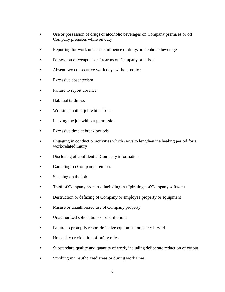- Use or possession of drugs or alcoholic beverages on Company premises or off Company premises while on duty
- Reporting for work under the influence of drugs or alcoholic beverages
- Possession of weapons or firearms on Company premises
- Absent two consecutive work days without notice
- Excessive absenteeism
- Failure to report absence
- Habitual tardiness
- Working another job while absent
- Leaving the job without permission
- Excessive time at break periods
- Engaging in conduct or activities which serve to lengthen the healing period for a work-related injury
- Disclosing of confidential Company information
- Gambling on Company premises
- Sleeping on the job
- Theft of Company property, including the "pirating" of Company software
- Destruction or defacing of Company or employee property or equipment
- Misuse or unauthorized use of Company property
- Unauthorized solicitations or distributions
- Failure to promptly report defective equipment or safety hazard
- Horseplay or violation of safety rules
- Substandard quality and quantity of work, including deliberate reduction of output
- Smoking in unauthorized areas or during work time.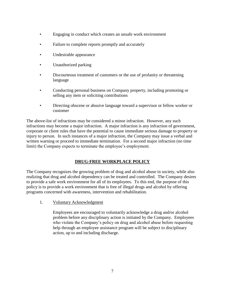- Engaging in conduct which creates an unsafe work environment
- Failure to complete reports promptly and accurately
- Undesirable appearance
- Unauthorized parking
- Discourteous treatment of customers or the use of profanity or threatening language
- Conducting personal business on Company property, including promoting or selling any item or soliciting contributions
- Directing obscene or abusive language toward a supervisor or fellow worker or customer

The above-list of infractions may be considered a minor infraction. However, any such infractions may become a major infraction. A major infraction is any infraction of government, corporate or client rules that have the potential to cause immediate serious damage to property or injury to person. In such instances of a major infraction, the Company may issue a verbal and written warning or proceed to immediate termination. For a second major infraction (no time limit) the Company expects to terminate the employee's employment.

# **DRUG-FREE WORKPLACE POLICY**

The Company recognizes the growing problem of drug and alcohol abuse in society, while also realizing that drug and alcohol dependency can be treated and controlled. The Company desires to provide a safe work environment for all of its employees. To this end, the purpose of this policy is to provide a work environment that is free of illegal drugs and alcohol by offering programs concerned with awareness, intervention and rehabilitation.

1. Voluntary Acknowledgment

Employees are encouraged to voluntarily acknowledge a drug and/or alcohol problem before any disciplinary action is initiated by the Company. Employees who violate the Company's policy on drug and alcohol abuse before requesting help through an employee assistance program will be subject to disciplinary action, up to and including discharge.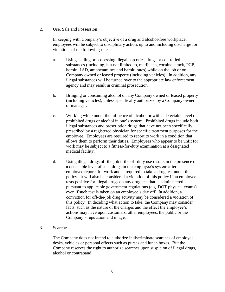## 2. Use, Sale and Possession

In keeping with Company's objective of a drug and alcohol-free workplace, employees will be subject to disciplinary action, up to and including discharge for violations of the following rules:

- a. Using, selling or possessing illegal narcotics, drugs or controlled substances (including, but not limited to, marijuana, cocaine, crack, PCP, heroin, LSD, amphetamines and barbiturates) while on the job or on Company owned or leased property (including vehicles). In addition, any illegal substances will be turned over to the appropriate law enforcement agency and may result in criminal prosecution.
- b. Bringing or consuming alcohol on any Company owned or leased property (including vehicles), unless specifically authorized by a Company owner or manager.
- c. Working while under the influence of alcohol or with a detectable level of prohibited drugs or alcohol in one's system. Prohibited drugs include both illegal substances and prescription drugs that have not been specifically prescribed by a registered physician for specific treatment purposes for the employee. Employees are required to report to work in a condition that allows them to perform their duties. Employees who appear to be unfit for work may be subject to a fitness-for-duty examination at a designated medical facility.
- d. Using illegal drugs off the job if the off-duty use results in the presence of a detectable level of such drugs in the employee's system after an employee reports for work and is required to take a drug test under this policy. It will also be considered a violation of this policy if an employee tests positive for illegal drugs on any drug test that is administered pursuant to applicable government regulations (e.g. DOT physical exams) even if such test is taken on an employee's day off. In addition, a conviction for off-the-job drug activity may be considered a violation of this policy. In deciding what action to take, the Company may consider facts, such as the nature of the charges and the effect the employee's actions may have upon customers, other employees, the public or the Company's reputation and image.
- 3. Searches

The Company does not intend to authorize indiscriminate searches of employee desks, vehicles or personal effects such as purses and lunch boxes. But the Company reserves the right to authorize searches upon suspicion of illegal drugs, alcohol or contraband.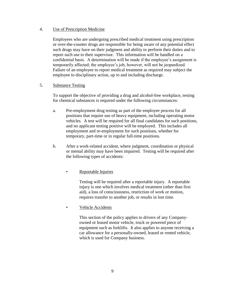## 4. Use of Prescription Medicine

Employees who are undergoing prescribed medical treatment using prescription or over-the-counter drugs are responsible for being aware of any potential effect such drugs may have on their judgment and ability to perform their duties and to report such use to their supervisor. This information will be handled on a confidential basis. A determination will be made if the employee's assignment is temporarily affected; the employee's job, however, will not be jeopardized. Failure of an employee to report medical treatment as required may subject the employee to disciplinary action, up to and including discharge.

# 5. Substance Testing

To support the objective of providing a drug and alcohol-free workplace, testing for chemical substances is required under the following circumstances:

- a. Pre-employment drug testing as part of the employee process for all positions that require use of heavy equipment, including operating motor vehicles. A test will be required for all final candidates for such positions, and no applicant testing positive will be employed. This includes all employment and re-employment for such positions, whether for temporary, part-time or in regular full-time positions.
- b. After a work-related accident, where judgment, coordination or physical or mental ability may have been impaired. Testing will be required after the following types of accidents:

# • Reportable Injuries

Testing will be required after a reportable injury. A reportable injury is one which involves medical treatment (other than first aid), a loss of consciousness, restriction of work or motion, requires transfer to another job, or results in lost time.

# Vehicle Accidents

This section of the policy applies to drivers of any Companyowned or leased motor vehicle, truck or powered piece of equipment such as forklifts. It also applies to anyone receiving a car allowance for a personally-owned, leased or rented vehicle, which is used for Company business.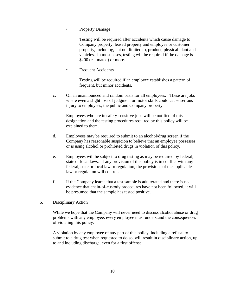## Property Damage

Testing will be required after accidents which cause damage to Company property, leased property and employee or customer property, including, but not limited to, product, physical plant and vehicles. In most cases, testing will be required if the damage is \$200 (estimated) or more.

# **Frequent Accidents**

Testing will be required if an employee establishes a pattern of frequent, but minor accidents.

c. On an unannounced and random basis for all employees. These are jobs where even a slight loss of judgment or motor skills could cause serious injury to employees, the public and Company property.

Employees who are in safety-sensitive jobs will be notified of this designation and the testing procedures required by this policy will be explained to them.

- d. Employees may be required to submit to an alcohol/drug screen if the Company has reasonable suspicion to believe that an employee possesses or is using alcohol or prohibited drugs in violation of this policy.
- e. Employees will be subject to drug testing as may be required by federal, state or local laws. If any provision of this policy is in conflict with any federal, state or local law or regulation, the provisions of the applicable law or regulation will control.
- f. If the Company learns that a test sample is adulterated and there is no evidence that chain-of-custody procedures have not been followed, it will be presumed that the sample has tested positive.

## 6. Disciplinary Action

While we hope that the Company will never need to discuss alcohol abuse or drug problems with any employee, every employee must understand the consequences of violating this policy.

A violation by any employee of any part of this policy, including a refusal to submit to a drug test when requested to do so, will result in disciplinary action, up to and including discharge, even for a first offense.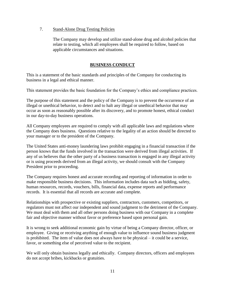## 7. Stand-Alone Drug Testing Policies

The Company may develop and utilize stand-alone drug and alcohol policies that relate to testing, which all employees shall be required to follow, based on applicable circumstances and situations.

# **BUSINESS CONDUCT**

This is a statement of the basic standards and principles of the Company for conducting its business in a legal and ethical manner.

This statement provides the basic foundation for the Company's ethics and compliance practices.

The purpose of this statement and the policy of the Company is to prevent the occurrence of an illegal or unethical behavior, to detect and to halt any illegal or unethical behavior that may occur as soon as reasonably possible after its discovery, and to promote honest, ethical conduct in our day-to-day business operations.

All Company employees are required to comply with all applicable laws and regulations where the Company does business. Questions relative to the legality of an action should be directed to your manager or to the president of the Company.

The United States anti-money laundering laws prohibit engaging in a financial transaction if the person knows that the funds involved in the transaction were derived from illegal activities. If any of us believes that the other party of a business transaction is engaged in any illegal activity or is using proceeds derived from an illegal activity, we should consult with the Company President prior to proceeding.

The Company requires honest and accurate recording and reporting of information in order to make responsible business decisions. This information includes data such as bidding, safety, human resources, records, vouchers, bills, financial data, expense reports and performance records. It is essential that all records are accurate and complete.

Relationships with prospective or existing suppliers, contractors, customers, competitors, or regulators must not affect our independent and sound judgment to the detriment of the Company. We must deal with them and all other persons doing business with our Company in a complete fair and objective manner without favor or preference based upon personal gain.

It is wrong to seek additional economic gain by virtue of being a Company director, officer, or employee. Giving or receiving anything of enough value to influence sound business judgment is prohibited. The item of value does not always have to be physical – it could be a service, favor, or something else of perceived value to the recipient.

We will only obtain business legally and ethically. Company directors, officers and employees do not accept bribes, kickbacks or gratuities.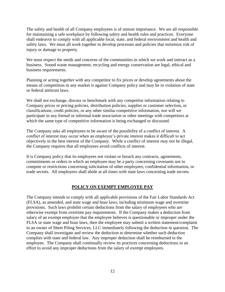The safety and health of all Company employees is of utmost importance. We are all responsible for maintaining a safe workplace by following safety and health rules and practices. Everyone shall endeavor to comply with all applicable local, state, and federal environment and health and safety laws. We must all work together to develop processes and policies that minimize risk of injury or damage to property.

We must respect the needs and concerns of the communities in which we work and interact as a business. Sound waste management, recycling and energy conservation are legal, ethical and business requirements.

Planning or acting together with any competitor to fix prices or develop agreements about the means of competition in any market is against Company policy and may be in violation of state or federal antitrust laws.

We shall not exchange, discuss or benchmark with any competitor information relating to Company prices or pricing policies, distribution policies, supplier or customer selection, or classifications, credit policies, or any other similar competitive information, nor will we participate in any formal or informal trade association or other meetings with competitors at which the same type of competitive information is being exchanged or discussed.

The Company asks all employees to be aware of the possibility of a conflict of interest. A conflict of interest may occur when an employee's private interest makes it difficult to act objectively in the best interest of the Company. While a conflict of interest may not be illegal, the Company requires that all employees avoid conflicts of interest.

It is Company policy that its employees not violate or breach any contracts, agreements, commitments or orders to which an employee may be a party concerning covenants not to compete or restrictions concerning solicitation of other employees, confidential information, or trade secrets. All employees shall abide at all times with state laws concerning trade secrets.

# **POLICY ON EXEMPT EMPLOYEE PAY**

The Company intends to comply with all applicable provisions of the Fair Labor Standards Act (FLSA), as amended, and state wage and hour laws, including minimum wage and overtime provisions. Such laws prohibit certain deductions from the salary of employees who are otherwise exempt from overtime pay requirements. If the Company makes a deduction from salary of an exempt employee that the employee believes is questionable or improper under the FLSA or state wage and hour laws, then the employee may submit a written statement/complaint to an owner of Sheet Piling Services, LLC immediately following the deduction in question. The Company shall investigate and review the deduction to determine whether such deduction complies with state and federal law. Any improper deduction shall be reimbursed to the employee. The Company shall continually review its practices concerning deductions in an effort to avoid any improper deductions from the salary of exempt employees.